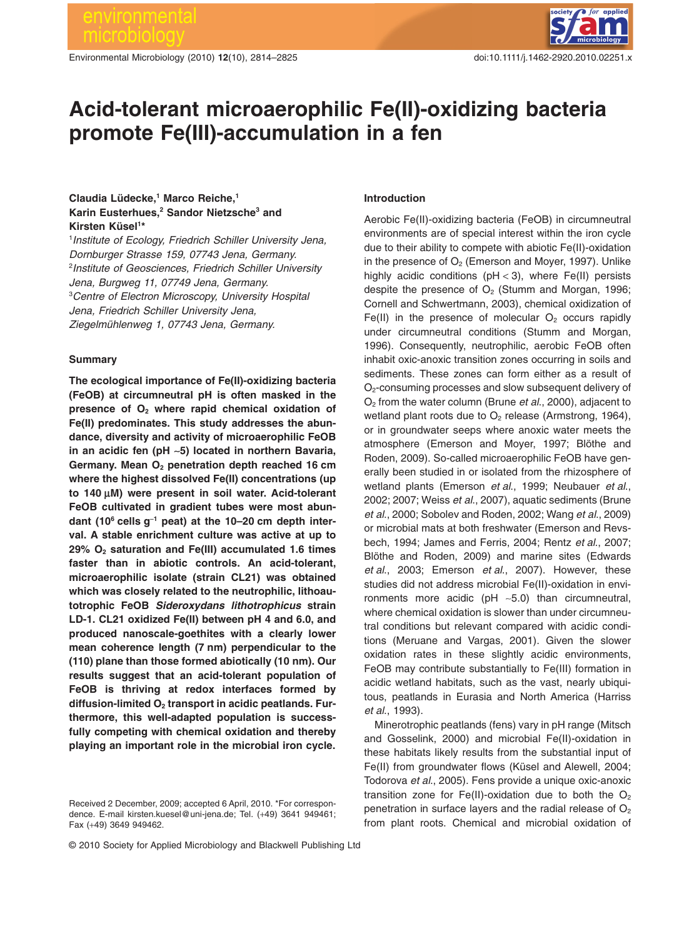Environmental Microbiology (2010) **12**(10), 2814–2825 doi:10.1111/j.1462-2920.2010.02251.x

# **Acid-tolerant microaerophilic Fe(II)-oxidizing bacteria** promote Fe(III)-accumulation in a fen

# **Claudia Lüdecke,1 Marco Reiche,1 Karin Eusterhues,2 Sandor Nietzsche3 and Kirsten Küsel1 \***

1 *Institute of Ecology, Friedrich Schiller University Jena, Dornburger Strasse 159, 07743 Jena, Germany.* 2 *Institute of Geosciences, Friedrich Schiller University Jena, Burgweg 11, 07749 Jena, Germany.* 3 *Centre of Electron Microscopy, University Hospital Jena, Friedrich Schiller University Jena, Ziegelmühlenweg 1, 07743 Jena, Germany.*

## **Summary**

**The ecological importance of Fe(II)-oxidizing bacteria (FeOB) at circumneutral pH is often masked in the** presence of  $\mathbf{O}_2$  where rapid chemical oxidation of **Fe(II) predominates. This study addresses the abundance, diversity and activity of microaerophilic FeOB in an acidic fen (pH** ~**5) located in northern Bavaria, Germany. Mean O2 penetration depth reached 16 cm where the highest dissolved Fe(II) concentrations (up** to 140 μM) were present in soil water. Acid-tolerant **FeOB cultivated in gradient tubes were most abundant (106 cells g**-**<sup>1</sup> peat) at the 10–20 cm depth interval. A stable enrichment culture was active at up to 29% O2 saturation and Fe(III) accumulated 1.6 times faster than in abiotic controls. An acid-tolerant, microaerophilic isolate (strain CL21) was obtained which was closely related to the neutrophilic, lithoautotrophic FeOB** *Sideroxydans lithotrophicus* **strain LD-1. CL21 oxidized Fe(II) between pH 4 and 6.0, and produced nanoscale-goethites with a clearly lower mean coherence length (7 nm) perpendicular to the (110) plane than those formed abiotically (10 nm). Our results suggest that an acid-tolerant population of FeOB is thriving at redox interfaces formed by** diffusion-limited O<sub>2</sub> transport in acidic peatlands. Fur**thermore, this well-adapted population is successfully competing with chemical oxidation and thereby playing an important role in the microbial iron cycle.**

# **Introduction**

Aerobic Fe(II)-oxidizing bacteria (FeOB) in circumneutral environments are of special interest within the iron cycle due to their ability to compete with abiotic Fe(II)-oxidation in the presence of  $O<sub>2</sub>$  (Emerson and Moyer, 1997). Unlike highly acidic conditions ( $pH < 3$ ), where Fe(II) persists despite the presence of  $O<sub>2</sub>$  (Stumm and Morgan, 1996; Cornell and Schwertmann, 2003), chemical oxidization of Fe(II) in the presence of molecular  $O<sub>2</sub>$  occurs rapidly under circumneutral conditions (Stumm and Morgan, 1996). Consequently, neutrophilic, aerobic FeOB often inhabit oxic-anoxic transition zones occurring in soils and sediments. These zones can form either as a result of O<sub>2</sub>-consuming processes and slow subsequent delivery of O2 from the water column (Brune *et al*., 2000), adjacent to wetland plant roots due to  $O<sub>2</sub>$  release (Armstrong, 1964), or in groundwater seeps where anoxic water meets the atmosphere (Emerson and Moyer, 1997; Blöthe and Roden, 2009). So-called microaerophilic FeOB have generally been studied in or isolated from the rhizosphere of wetland plants (Emerson *et al*., 1999; Neubauer *et al*., 2002; 2007; Weiss *et al*., 2007), aquatic sediments (Brune *et al*., 2000; Sobolev and Roden, 2002; Wang *et al*., 2009) or microbial mats at both freshwater (Emerson and Revsbech, 1994; James and Ferris, 2004; Rentz *et al*., 2007; Blöthe and Roden, 2009) and marine sites (Edwards *et al*., 2003; Emerson *et al*., 2007). However, these studies did not address microbial Fe(II)-oxidation in environments more acidic (pH ~5.0) than circumneutral, where chemical oxidation is slower than under circumneutral conditions but relevant compared with acidic conditions (Meruane and Vargas, 2001). Given the slower oxidation rates in these slightly acidic environments, FeOB may contribute substantially to Fe(III) formation in acidic wetland habitats, such as the vast, nearly ubiquitous, peatlands in Eurasia and North America (Harriss *et al*., 1993).

Minerotrophic peatlands (fens) vary in pH range (Mitsch and Gosselink, 2000) and microbial Fe(II)-oxidation in these habitats likely results from the substantial input of Fe(II) from groundwater flows (Küsel and Alewell, 2004; Todorova *et al*., 2005). Fens provide a unique oxic-anoxic transition zone for Fe(II)-oxidation due to both the  $O<sub>2</sub>$ penetration in surface layers and the radial release of  $O<sub>2</sub>$ from plant roots. Chemical and microbial oxidation of

Received 2 December, 2009; accepted 6 April, 2010. \*For correspondence. E-mail [kirsten.kuesel@uni-jena.de;](mailto:kirsten.kuesel@uni-jena.de) Tel. (+49) 3641 949461; Fax (+49) 3649 949462.

<sup>© 2010</sup> Society for Applied Microbiology and Blackwell Publishing Ltd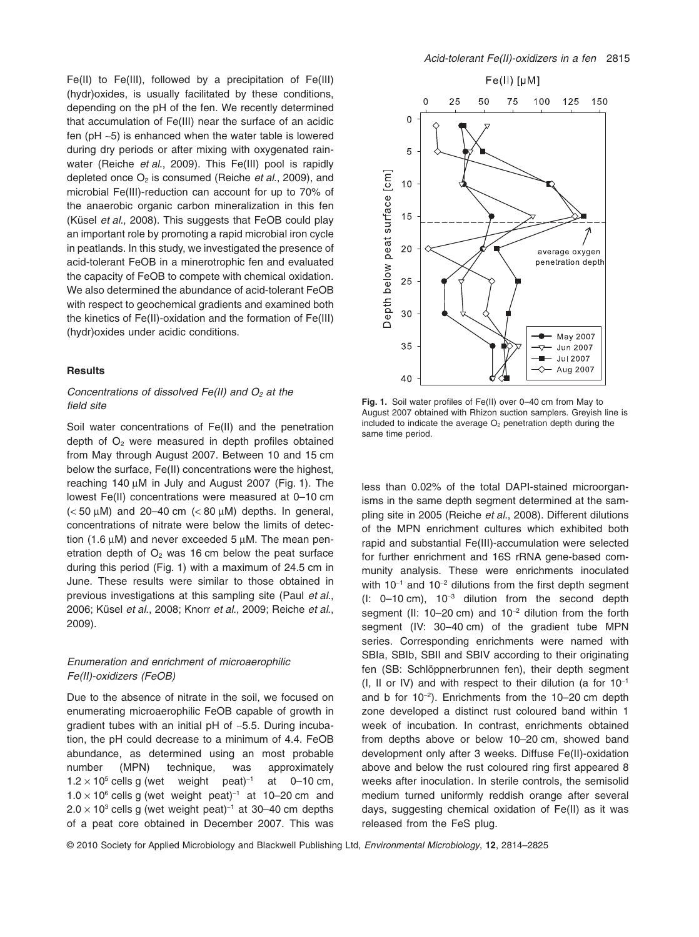Fe(II) to Fe(III), followed by a precipitation of Fe(III) (hydr)oxides, is usually facilitated by these conditions, depending on the pH of the fen. We recently determined that accumulation of Fe(III) near the surface of an acidic fen ( $pH \sim 5$ ) is enhanced when the water table is lowered during dry periods or after mixing with oxygenated rainwater (Reiche *et al*., 2009). This Fe(III) pool is rapidly depleted once O2 is consumed (Reiche *et al*., 2009), and microbial Fe(III)-reduction can account for up to 70% of the anaerobic organic carbon mineralization in this fen (Küsel *et al*., 2008). This suggests that FeOB could play an important role by promoting a rapid microbial iron cycle in peatlands. In this study, we investigated the presence of acid-tolerant FeOB in a minerotrophic fen and evaluated the capacity of FeOB to compete with chemical oxidation. We also determined the abundance of acid-tolerant FeOB with respect to geochemical gradients and examined both the kinetics of Fe(II)-oxidation and the formation of Fe(III) (hydr)oxides under acidic conditions.

## **Results**

# *Concentrations of dissolved Fe(II) and O<sub>2</sub> at the field site*

Soil water concentrations of Fe(II) and the penetration depth of  $O<sub>2</sub>$  were measured in depth profiles obtained from May through August 2007. Between 10 and 15 cm below the surface, Fe(II) concentrations were the highest, reaching 140  $\mu$ M in July and August 2007 (Fig. 1). The lowest Fe(II) concentrations were measured at 0–10 cm  $(< 50 \mu M$ ) and 20–40 cm  $(< 80 \mu M$ ) depths. In general, concentrations of nitrate were below the limits of detection (1.6  $\mu$ M) and never exceeded 5  $\mu$ M. The mean penetration depth of  $O<sub>2</sub>$  was 16 cm below the peat surface during this period (Fig. 1) with a maximum of 24.5 cm in June. These results were similar to those obtained in previous investigations at this sampling site (Paul *et al*., 2006; Küsel *et al*., 2008; Knorr *et al*., 2009; Reiche *et al*., 2009).

# *Enumeration and enrichment of microaerophilic Fe(II)-oxidizers (FeOB)*

Due to the absence of nitrate in the soil, we focused on enumerating microaerophilic FeOB capable of growth in gradient tubes with an initial  $pH$  of  $\sim$ 5.5. During incubation, the pH could decrease to a minimum of 4.4. FeOB abundance, as determined using an most probable number (MPN) technique, was approximately  $1.2 \times 10^5$  cells g (wet weight peat)<sup>-1</sup> at 0-10 cm,  $1.0 \times 10^6$  cells g (wet weight peat)<sup>-1</sup> at 10–20 cm and  $2.0 \times 10^3$  cells g (wet weight peat)<sup>-1</sup> at 30-40 cm depths of a peat core obtained in December 2007. This was



**Fig. 1.** Soil water profiles of Fe(II) over 0–40 cm from May to August 2007 obtained with Rhizon suction samplers. Greyish line is included to indicate the average  $O<sub>2</sub>$  penetration depth during the same time period.

less than 0.02% of the total DAPI-stained microorganisms in the same depth segment determined at the sampling site in 2005 (Reiche *et al*., 2008). Different dilutions of the MPN enrichment cultures which exhibited both rapid and substantial Fe(III)-accumulation were selected for further enrichment and 16S rRNA gene-based community analysis. These were enrichments inoculated with  $10^{-1}$  and  $10^{-2}$  dilutions from the first depth segment  $(l: 0-10 \text{ cm})$ ,  $10^{-3}$  dilution from the second depth segment (II: 10-20 cm) and  $10^{-2}$  dilution from the forth segment (IV: 30–40 cm) of the gradient tube MPN series. Corresponding enrichments were named with SBIa, SBIb, SBII and SBIV according to their originating fen (SB: Schlöppnerbrunnen fen), their depth segment (I, II or IV) and with respect to their dilution (a for  $10^{-1}$ and b for  $10^{-2}$ ). Enrichments from the 10-20 cm depth zone developed a distinct rust coloured band within 1 week of incubation. In contrast, enrichments obtained from depths above or below 10–20 cm, showed band development only after 3 weeks. Diffuse Fe(II)-oxidation above and below the rust coloured ring first appeared 8 weeks after inoculation. In sterile controls, the semisolid medium turned uniformly reddish orange after several days, suggesting chemical oxidation of Fe(II) as it was released from the FeS plug.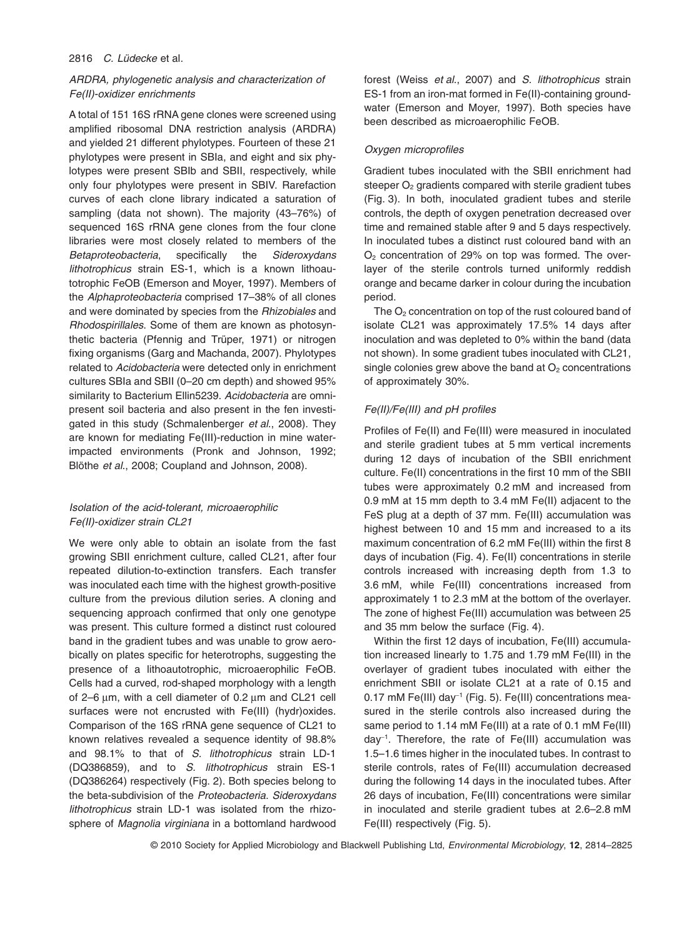#### 2816 *C. Lüdecke* et al*.*

# *ARDRA, phylogenetic analysis and characterization of Fe(II)-oxidizer enrichments*

A total of 151 16S rRNA gene clones were screened using amplified ribosomal DNA restriction analysis (ARDRA) and yielded 21 different phylotypes. Fourteen of these 21 phylotypes were present in SBIa, and eight and six phylotypes were present SBIb and SBII, respectively, while only four phylotypes were present in SBIV. Rarefaction curves of each clone library indicated a saturation of sampling (data not shown). The majority (43–76%) of sequenced 16S rRNA gene clones from the four clone libraries were most closely related to members of the *Betaproteobacteria*, specifically the *Sideroxydans lithotrophicus* strain ES-1, which is a known lithoautotrophic FeOB (Emerson and Moyer, 1997). Members of the *Alphaproteobacteria* comprised 17–38% of all clones and were dominated by species from the *Rhizobiales* and *Rhodospirillales*. Some of them are known as photosynthetic bacteria (Pfennig and Trüper, 1971) or nitrogen fixing organisms (Garg and Machanda, 2007). Phylotypes related to *Acidobacteria* were detected only in enrichment cultures SBIa and SBII (0–20 cm depth) and showed 95% similarity to Bacterium Ellin5239. *Acidobacteria* are omnipresent soil bacteria and also present in the fen investigated in this study (Schmalenberger *et al*., 2008). They are known for mediating Fe(III)-reduction in mine waterimpacted environments (Pronk and Johnson, 1992; Blöthe *et al*., 2008; Coupland and Johnson, 2008).

# *Isolation of the acid-tolerant, microaerophilic Fe(II)-oxidizer strain CL21*

We were only able to obtain an isolate from the fast growing SBII enrichment culture, called CL21, after four repeated dilution-to-extinction transfers. Each transfer was inoculated each time with the highest growth-positive culture from the previous dilution series. A cloning and sequencing approach confirmed that only one genotype was present. This culture formed a distinct rust coloured band in the gradient tubes and was unable to grow aerobically on plates specific for heterotrophs, suggesting the presence of a lithoautotrophic, microaerophilic FeOB. Cells had a curved, rod-shaped morphology with a length of  $2-6$   $\mu$ m, with a cell diameter of 0.2  $\mu$ m and CL21 cell surfaces were not encrusted with Fe(III) (hydr)oxides. Comparison of the 16S rRNA gene sequence of CL21 to known relatives revealed a sequence identity of 98.8% and 98.1% to that of *S. lithotrophicus* strain LD-1 (DQ386859), and to *S. lithotrophicus* strain ES-1 (DQ386264) respectively (Fig. 2). Both species belong to the beta-subdivision of the *Proteobacteria*. *Sideroxydans lithotrophicus* strain LD-1 was isolated from the rhizosphere of *Magnolia virginiana* in a bottomland hardwood forest (Weiss *et al*., 2007) and *S. lithotrophicus* strain ES-1 from an iron-mat formed in Fe(II)-containing groundwater (Emerson and Moyer, 1997). Both species have been described as microaerophilic FeOB.

## *Oxygen microprofiles*

Gradient tubes inoculated with the SBII enrichment had steeper O<sub>2</sub> gradients compared with sterile gradient tubes (Fig. 3). In both, inoculated gradient tubes and sterile controls, the depth of oxygen penetration decreased over time and remained stable after 9 and 5 days respectively. In inoculated tubes a distinct rust coloured band with an  $O<sub>2</sub>$  concentration of 29% on top was formed. The overlayer of the sterile controls turned uniformly reddish orange and became darker in colour during the incubation period.

The  $O<sub>2</sub>$  concentration on top of the rust coloured band of isolate CL21 was approximately 17.5% 14 days after inoculation and was depleted to 0% within the band (data not shown). In some gradient tubes inoculated with CL21, single colonies grew above the band at  $O<sub>2</sub>$  concentrations of approximately 30%.

## *Fe(II)/Fe(III) and pH profiles*

Profiles of Fe(II) and Fe(III) were measured in inoculated and sterile gradient tubes at 5 mm vertical increments during 12 days of incubation of the SBII enrichment culture. Fe(II) concentrations in the first 10 mm of the SBII tubes were approximately 0.2 mM and increased from 0.9 mM at 15 mm depth to 3.4 mM Fe(II) adjacent to the FeS plug at a depth of 37 mm. Fe(III) accumulation was highest between 10 and 15 mm and increased to a its maximum concentration of 6.2 mM Fe(III) within the first 8 days of incubation (Fig. 4). Fe(II) concentrations in sterile controls increased with increasing depth from 1.3 to 3.6 mM, while Fe(III) concentrations increased from approximately 1 to 2.3 mM at the bottom of the overlayer. The zone of highest Fe(III) accumulation was between 25 and 35 mm below the surface (Fig. 4).

Within the first 12 days of incubation, Fe(III) accumulation increased linearly to 1.75 and 1.79 mM Fe(III) in the overlayer of gradient tubes inoculated with either the enrichment SBII or isolate CL21 at a rate of 0.15 and 0.17 mM Fe(III) day<sup>-1</sup> (Fig. 5). Fe(III) concentrations measured in the sterile controls also increased during the same period to 1.14 mM Fe(III) at a rate of 0.1 mM Fe(III) day-<sup>1</sup> . Therefore, the rate of Fe(III) accumulation was 1.5–1.6 times higher in the inoculated tubes. In contrast to sterile controls, rates of Fe(III) accumulation decreased during the following 14 days in the inoculated tubes. After 26 days of incubation, Fe(III) concentrations were similar in inoculated and sterile gradient tubes at 2.6–2.8 mM Fe(III) respectively (Fig. 5).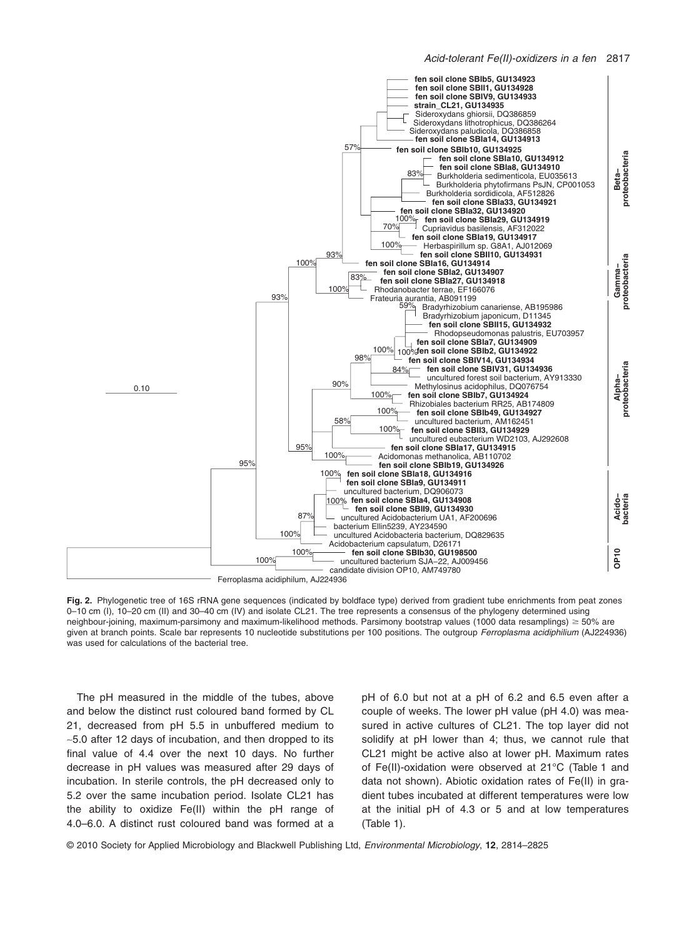

**Fig. 2.** Phylogenetic tree of 16S rRNA gene sequences (indicated by boldface type) derived from gradient tube enrichments from peat zones 0–10 cm (I), 10–20 cm (II) and 30–40 cm (IV) and isolate CL21. The tree represents a consensus of the phylogeny determined using neighbour-joining, maximum-parsimony and maximum-likelihood methods. Parsimony bootstrap values (1000 data resamplings) ≥ 50% are given at branch points. Scale bar represents 10 nucleotide substitutions per 100 positions. The outgroup *Ferroplasma acidiphilium* (AJ224936) was used for calculations of the bacterial tree.

The pH measured in the middle of the tubes, above and below the distinct rust coloured band formed by CL 21, decreased from pH 5.5 in unbuffered medium to  $\sim$  5.0 after 12 days of incubation, and then dropped to its final value of 4.4 over the next 10 days. No further decrease in pH values was measured after 29 days of incubation. In sterile controls, the pH decreased only to 5.2 over the same incubation period. Isolate CL21 has the ability to oxidize Fe(II) within the pH range of 4.0–6.0. A distinct rust coloured band was formed at a pH of 6.0 but not at a pH of 6.2 and 6.5 even after a couple of weeks. The lower pH value (pH 4.0) was measured in active cultures of CL21. The top layer did not solidify at pH lower than 4; thus, we cannot rule that CL21 might be active also at lower pH. Maximum rates of Fe(II)-oxidation were observed at 21°C (Table 1 and data not shown). Abiotic oxidation rates of Fe(II) in gradient tubes incubated at different temperatures were low at the initial pH of 4.3 or 5 and at low temperatures (Table 1).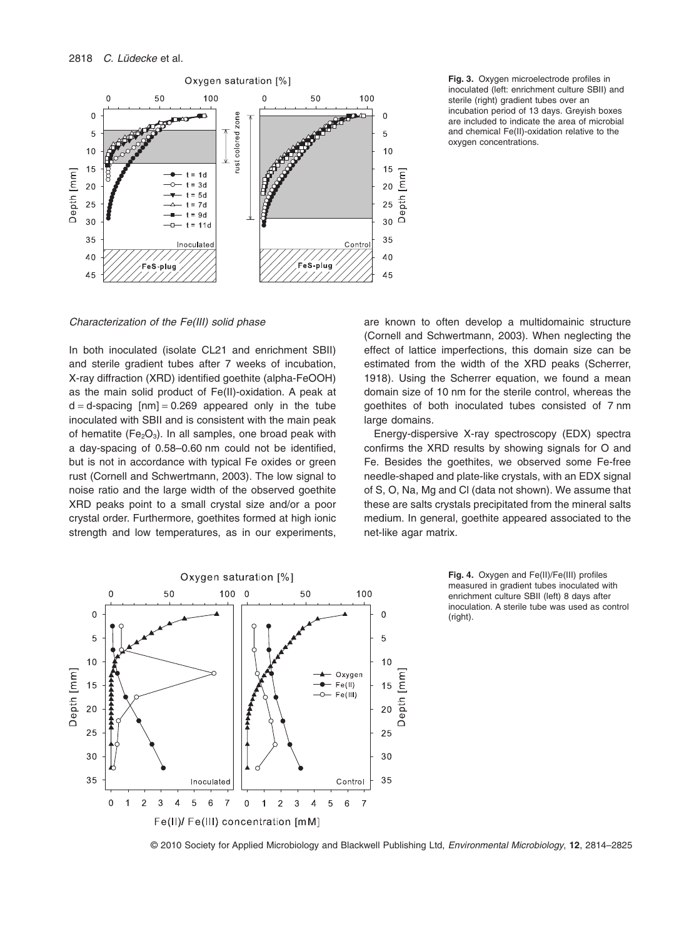

**Fig. 3.** Oxygen microelectrode profiles in inoculated (left: enrichment culture SBII) and sterile (right) gradient tubes over an incubation period of 13 days. Greyish boxes are included to indicate the area of microbial and chemical Fe(II)-oxidation relative to the oxygen concentrations.

*Characterization of the Fe(III) solid phase*

In both inoculated (isolate CL21 and enrichment SBII) and sterile gradient tubes after 7 weeks of incubation, X-ray diffraction (XRD) identified goethite (alpha-FeOOH) as the main solid product of Fe(II)-oxidation. A peak at  $d = d$ -spacing  $[mn] = 0.269$  appeared only in the tube inoculated with SBII and is consistent with the main peak of hematite ( $Fe<sub>2</sub>O<sub>3</sub>$ ). In all samples, one broad peak with a day-spacing of 0.58–0.60 nm could not be identified, but is not in accordance with typical Fe oxides or green rust (Cornell and Schwertmann, 2003). The low signal to noise ratio and the large width of the observed goethite XRD peaks point to a small crystal size and/or a poor crystal order. Furthermore, goethites formed at high ionic strength and low temperatures, as in our experiments,

are known to often develop a multidomainic structure (Cornell and Schwertmann, 2003). When neglecting the effect of lattice imperfections, this domain size can be estimated from the width of the XRD peaks (Scherrer, 1918). Using the Scherrer equation, we found a mean domain size of 10 nm for the sterile control, whereas the goethites of both inoculated tubes consisted of 7 nm large domains.

Energy-dispersive X-ray spectroscopy (EDX) spectra confirms the XRD results by showing signals for O and Fe. Besides the goethites, we observed some Fe-free needle-shaped and plate-like crystals, with an EDX signal of S, O, Na, Mg and Cl (data not shown). We assume that these are salts crystals precipitated from the mineral salts medium. In general, goethite appeared associated to the net-like agar matrix.



**Fig. 4.** Oxygen and Fe(II)/Fe(III) profiles measured in gradient tubes inoculated with enrichment culture SBII (left) 8 days after inoculation. A sterile tube was used as control (right).

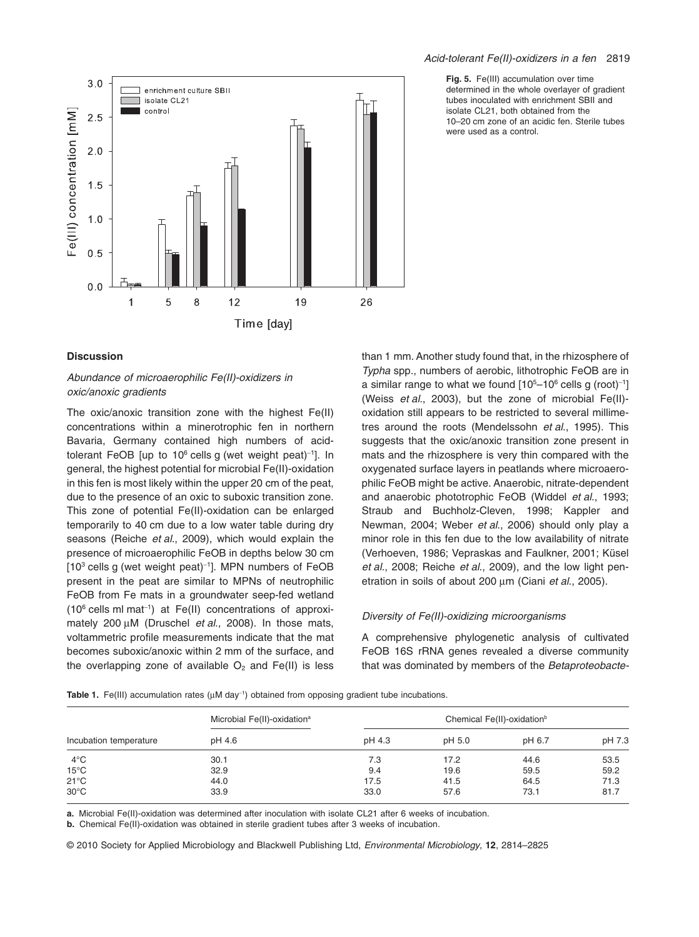

# **Discussion**

# *Abundance of microaerophilic Fe(II)-oxidizers in oxic/anoxic gradients*

The oxic/anoxic transition zone with the highest Fe(II) concentrations within a minerotrophic fen in northern Bavaria, Germany contained high numbers of acidtolerant FeOB [up to 10<sup>6</sup> cells g (wet weight peat)<sup>-1</sup>]. In general, the highest potential for microbial Fe(II)-oxidation in this fen is most likely within the upper 20 cm of the peat, due to the presence of an oxic to suboxic transition zone. This zone of potential Fe(II)-oxidation can be enlarged temporarily to 40 cm due to a low water table during dry seasons (Reiche *et al*., 2009), which would explain the presence of microaerophilic FeOB in depths below 30 cm  $[10^3 \text{ cells}$  g (wet weight peat)<sup>-1</sup>]. MPN numbers of FeOB present in the peat are similar to MPNs of neutrophilic FeOB from Fe mats in a groundwater seep-fed wetland  $(10^6 \text{ cells ml mat}^{-1})$  at Fe(II) concentrations of approximately 200 μM (Druschel *et al.*, 2008). In those mats, voltammetric profile measurements indicate that the mat becomes suboxic/anoxic within 2 mm of the surface, and the overlapping zone of available  $O<sub>2</sub>$  and Fe(II) is less

#### *Acid-tolerant Fe(II)-oxidizers in a fen* 2819

**Fig. 5.** Fe(III) accumulation over time determined in the whole overlayer of gradient tubes inoculated with enrichment SBII and isolate CL21, both obtained from the 10–20 cm zone of an acidic fen. Sterile tubes were used as a control.

than 1 mm. Another study found that, in the rhizosphere of *Typha* spp., numbers of aerobic, lithotrophic FeOB are in a similar range to what we found  $[10<sup>5</sup>-10<sup>6</sup>$  cells g (root)<sup>-1</sup>] (Weiss *et al*., 2003), but the zone of microbial Fe(II) oxidation still appears to be restricted to several millimetres around the roots (Mendelssohn *et al*., 1995). This suggests that the oxic/anoxic transition zone present in mats and the rhizosphere is very thin compared with the oxygenated surface layers in peatlands where microaerophilic FeOB might be active. Anaerobic, nitrate-dependent and anaerobic phototrophic FeOB (Widdel *et al*., 1993; Straub and Buchholz-Cleven, 1998; Kappler and Newman, 2004; Weber *et al*., 2006) should only play a minor role in this fen due to the low availability of nitrate (Verhoeven, 1986; Vepraskas and Faulkner, 2001; Küsel *et al*., 2008; Reiche *et al*., 2009), and the low light penetration in soils of about 200 μm (Ciani *et al.*, 2005).

## *Diversity of Fe(II)-oxidizing microorganisms*

A comprehensive phylogenetic analysis of cultivated FeOB 16S rRNA genes revealed a diverse community that was dominated by members of the *Betaproteobacte-*

| Incubation temperature | Microbial Fe(II)-oxidation <sup>a</sup><br>pH 4.6 | Chemical Fe(II)-oxidation <sup>b</sup> |        |        |        |
|------------------------|---------------------------------------------------|----------------------------------------|--------|--------|--------|
|                        |                                                   | pH 4.3                                 | pH 5.0 | pH 6.7 | pH 7.3 |
| $4^{\circ}$ C          | 30.1                                              | 7.3                                    | 17.2   | 44.6   | 53.5   |
| $15^{\circ}$ C         | 32.9                                              | 9.4                                    | 19.6   | 59.5   | 59.2   |
| $21^{\circ}$ C         | 44.0                                              | 17.5                                   | 41.5   | 64.5   | 71.3   |
| $30^{\circ}$ C         | 33.9                                              | 33.0                                   | 57.6   | 73.1   | 81.7   |

**Table 1.** Fe(III) accumulation rates  $(\mu M \, d a y^{-1})$  obtained from opposing gradient tube incubations.

**a.** Microbial Fe(II)-oxidation was determined after inoculation with isolate CL21 after 6 weeks of incubation.

**b.** Chemical Fe(II)-oxidation was obtained in sterile gradient tubes after 3 weeks of incubation.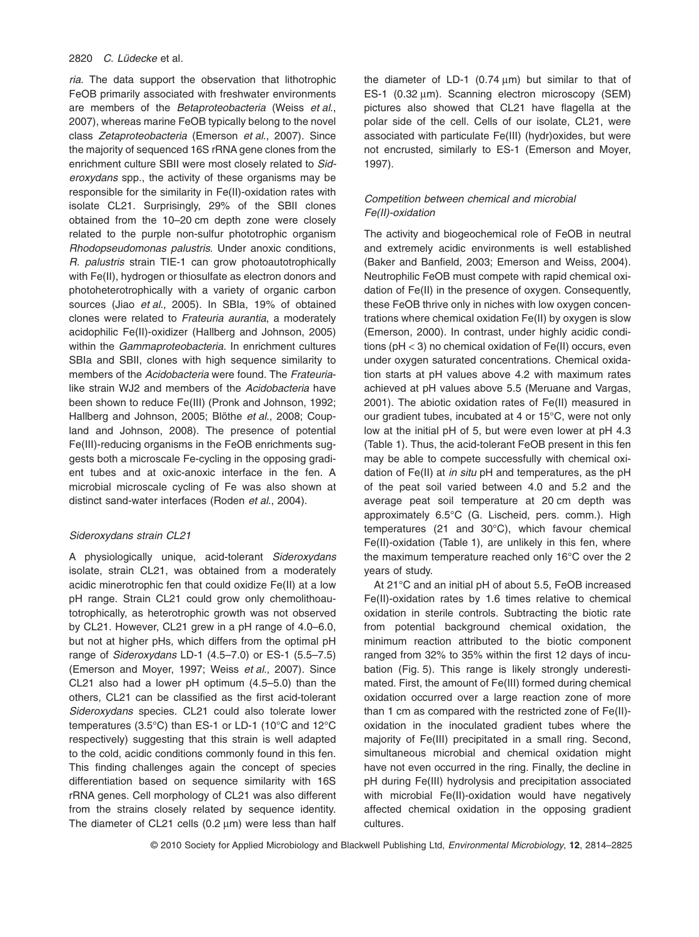#### 2820 *C. Lüdecke* et al*.*

*ria*. The data support the observation that lithotrophic FeOB primarily associated with freshwater environments are members of the *Betaproteobacteria* (Weiss *et al*., 2007), whereas marine FeOB typically belong to the novel class *Zetaproteobacteria* (Emerson *et al*., 2007). Since the majority of sequenced 16S rRNA gene clones from the enrichment culture SBII were most closely related to *Sideroxydans* spp., the activity of these organisms may be responsible for the similarity in Fe(II)-oxidation rates with isolate CL21. Surprisingly, 29% of the SBII clones obtained from the 10–20 cm depth zone were closely related to the purple non-sulfur phototrophic organism *Rhodopseudomonas palustris*. Under anoxic conditions, *R. palustris* strain TIE-1 can grow photoautotrophically with Fe(II), hydrogen or thiosulfate as electron donors and photoheterotrophically with a variety of organic carbon sources (Jiao *et al*., 2005). In SBIa, 19% of obtained clones were related to *Frateuria aurantia*, a moderately acidophilic Fe(II)-oxidizer (Hallberg and Johnson, 2005) within the *Gammaproteobacteria*. In enrichment cultures SBIa and SBII, clones with high sequence similarity to members of the *Acidobacteria* were found. The *Frateuria*like strain WJ2 and members of the *Acidobacteria* have been shown to reduce Fe(III) (Pronk and Johnson, 1992; Hallberg and Johnson, 2005; Blöthe *et al*., 2008; Coupland and Johnson, 2008). The presence of potential Fe(III)-reducing organisms in the FeOB enrichments suggests both a microscale Fe-cycling in the opposing gradient tubes and at oxic-anoxic interface in the fen. A microbial microscale cycling of Fe was also shown at distinct sand-water interfaces (Roden *et al*., 2004).

## *Sideroxydans strain CL21*

A physiologically unique, acid-tolerant *Sideroxydans* isolate, strain CL21, was obtained from a moderately acidic minerotrophic fen that could oxidize Fe(II) at a low pH range. Strain CL21 could grow only chemolithoautotrophically, as heterotrophic growth was not observed by CL21. However, CL21 grew in a pH range of 4.0–6.0, but not at higher pHs, which differs from the optimal pH range of *Sideroxydans* LD-1 (4.5–7.0) or ES-1 (5.5–7.5) (Emerson and Moyer, 1997; Weiss *et al*., 2007). Since CL21 also had a lower pH optimum (4.5–5.0) than the others, CL21 can be classified as the first acid-tolerant *Sideroxydans* species. CL21 could also tolerate lower temperatures (3.5°C) than ES-1 or LD-1 (10°C and 12°C respectively) suggesting that this strain is well adapted to the cold, acidic conditions commonly found in this fen. This finding challenges again the concept of species differentiation based on sequence similarity with 16S rRNA genes. Cell morphology of CL21 was also different from the strains closely related by sequence identity. The diameter of CL21 cells (0.2  $\mu$ m) were less than half the diameter of LD-1 (0.74  $\mu$ m) but similar to that of ES-1 (0.32  $\mu$ m). Scanning electron microscopy (SEM) pictures also showed that CL21 have flagella at the polar side of the cell. Cells of our isolate, CL21, were associated with particulate Fe(III) (hydr)oxides, but were not encrusted, similarly to ES-1 (Emerson and Moyer, 1997).

# *Competition between chemical and microbial Fe(II)-oxidation*

The activity and biogeochemical role of FeOB in neutral and extremely acidic environments is well established (Baker and Banfield, 2003; Emerson and Weiss, 2004). Neutrophilic FeOB must compete with rapid chemical oxidation of Fe(II) in the presence of oxygen. Consequently, these FeOB thrive only in niches with low oxygen concentrations where chemical oxidation Fe(II) by oxygen is slow (Emerson, 2000). In contrast, under highly acidic conditions (pH < 3) no chemical oxidation of Fe(II) occurs, even under oxygen saturated concentrations. Chemical oxidation starts at pH values above 4.2 with maximum rates achieved at pH values above 5.5 (Meruane and Vargas, 2001). The abiotic oxidation rates of Fe(II) measured in our gradient tubes, incubated at 4 or 15°C, were not only low at the initial pH of 5, but were even lower at pH 4.3 (Table 1). Thus, the acid-tolerant FeOB present in this fen may be able to compete successfully with chemical oxidation of Fe(II) at *in situ* pH and temperatures, as the pH of the peat soil varied between 4.0 and 5.2 and the average peat soil temperature at 20 cm depth was approximately 6.5°C (G. Lischeid, pers. comm.). High temperatures (21 and 30°C), which favour chemical Fe(II)-oxidation (Table 1), are unlikely in this fen, where the maximum temperature reached only 16°C over the 2 years of study.

At 21°C and an initial pH of about 5.5, FeOB increased Fe(II)-oxidation rates by 1.6 times relative to chemical oxidation in sterile controls. Subtracting the biotic rate from potential background chemical oxidation, the minimum reaction attributed to the biotic component ranged from 32% to 35% within the first 12 days of incubation (Fig. 5). This range is likely strongly underestimated. First, the amount of Fe(III) formed during chemical oxidation occurred over a large reaction zone of more than 1 cm as compared with the restricted zone of Fe(II) oxidation in the inoculated gradient tubes where the majority of Fe(III) precipitated in a small ring. Second, simultaneous microbial and chemical oxidation might have not even occurred in the ring. Finally, the decline in pH during Fe(III) hydrolysis and precipitation associated with microbial Fe(II)-oxidation would have negatively affected chemical oxidation in the opposing gradient cultures.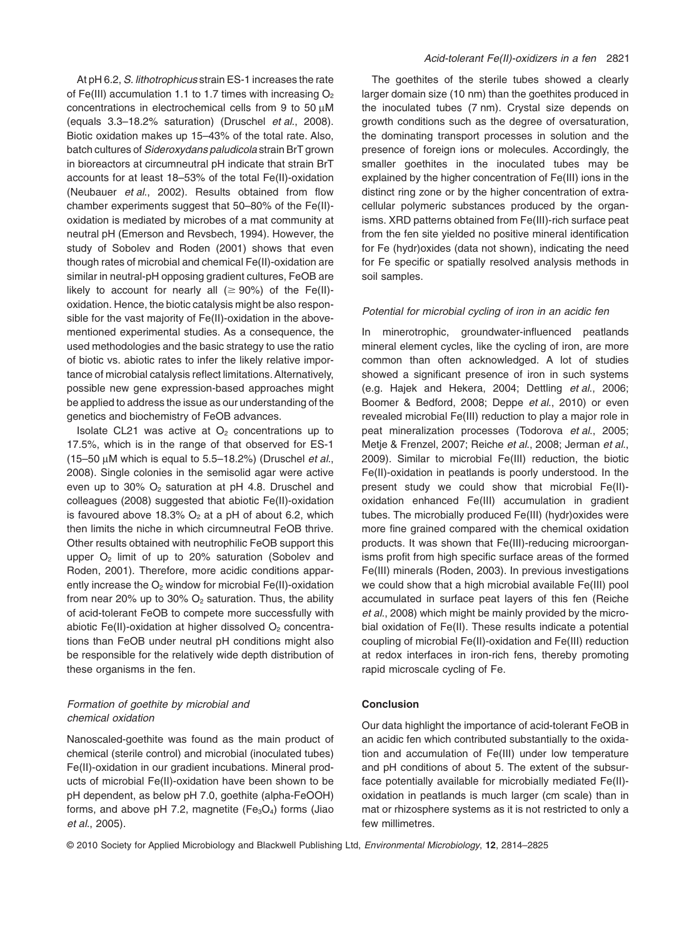At pH 6.2, *S. lithotrophicus* strain ES-1 increases the rate of Fe(III) accumulation 1.1 to 1.7 times with increasing  $O_2$ concentrations in electrochemical cells from 9 to 50  $\mu$ M (equals 3.3–18.2% saturation) (Druschel *et al*., 2008). Biotic oxidation makes up 15–43% of the total rate. Also, batch cultures of *Sideroxydans paludicola* strain BrT grown in bioreactors at circumneutral pH indicate that strain BrT accounts for at least 18–53% of the total Fe(II)-oxidation (Neubauer *et al*., 2002). Results obtained from flow chamber experiments suggest that 50–80% of the Fe(II) oxidation is mediated by microbes of a mat community at neutral pH (Emerson and Revsbech, 1994). However, the study of Sobolev and Roden (2001) shows that even though rates of microbial and chemical Fe(II)-oxidation are similar in neutral-pH opposing gradient cultures, FeOB are likely to account for nearly all ( $\geq 90\%$ ) of the Fe(II)oxidation. Hence, the biotic catalysis might be also responsible for the vast majority of Fe(II)-oxidation in the abovementioned experimental studies. As a consequence, the used methodologies and the basic strategy to use the ratio of biotic vs. abiotic rates to infer the likely relative importance of microbial catalysis reflect limitations. Alternatively, possible new gene expression-based approaches might be applied to address the issue as our understanding of the genetics and biochemistry of FeOB advances.

Isolate CL21 was active at  $O<sub>2</sub>$  concentrations up to 17.5%, which is in the range of that observed for ES-1 (15–50 mM which is equal to 5.5–18.2%) (Druschel *et al*., 2008). Single colonies in the semisolid agar were active even up to 30%  $O_2$  saturation at pH 4.8. Druschel and colleagues (2008) suggested that abiotic Fe(II)-oxidation is favoured above 18.3%  $O<sub>2</sub>$  at a pH of about 6.2, which then limits the niche in which circumneutral FeOB thrive. Other results obtained with neutrophilic FeOB support this upper  $O_2$  limit of up to 20% saturation (Sobolev and Roden, 2001). Therefore, more acidic conditions apparently increase the  $O_2$  window for microbial Fe(II)-oxidation from near 20% up to 30%  $O_2$  saturation. Thus, the ability of acid-tolerant FeOB to compete more successfully with abiotic Fe(II)-oxidation at higher dissolved  $O<sub>2</sub>$  concentrations than FeOB under neutral pH conditions might also be responsible for the relatively wide depth distribution of these organisms in the fen.

# *Formation of goethite by microbial and chemical oxidation*

Nanoscaled-goethite was found as the main product of chemical (sterile control) and microbial (inoculated tubes) Fe(II)-oxidation in our gradient incubations. Mineral products of microbial Fe(II)-oxidation have been shown to be pH dependent, as below pH 7.0, goethite (alpha-FeOOH) forms, and above pH 7.2, magnetite ( $Fe<sub>3</sub>O<sub>4</sub>$ ) forms (Jiao *et al*., 2005).

The goethites of the sterile tubes showed a clearly larger domain size (10 nm) than the goethites produced in the inoculated tubes (7 nm). Crystal size depends on growth conditions such as the degree of oversaturation, the dominating transport processes in solution and the presence of foreign ions or molecules. Accordingly, the smaller goethites in the inoculated tubes may be explained by the higher concentration of Fe(III) ions in the distinct ring zone or by the higher concentration of extracellular polymeric substances produced by the organisms. XRD patterns obtained from Fe(III)-rich surface peat from the fen site yielded no positive mineral identification for Fe (hydr)oxides (data not shown), indicating the need for Fe specific or spatially resolved analysis methods in soil samples.

#### *Potential for microbial cycling of iron in an acidic fen*

In minerotrophic, groundwater-influenced peatlands mineral element cycles, like the cycling of iron, are more common than often acknowledged. A lot of studies showed a significant presence of iron in such systems (e.g. Hajek and Hekera, 2004; Dettling *et al*., 2006; Boomer & Bedford, 2008; Deppe *et al*., 2010) or even revealed microbial Fe(III) reduction to play a major role in peat mineralization processes (Todorova *et al*., 2005; Metje & Frenzel, 2007; Reiche *et al*., 2008; Jerman *et al*., 2009). Similar to microbial Fe(III) reduction, the biotic Fe(II)-oxidation in peatlands is poorly understood. In the present study we could show that microbial Fe(II) oxidation enhanced Fe(III) accumulation in gradient tubes. The microbially produced Fe(III) (hydr)oxides were more fine grained compared with the chemical oxidation products. It was shown that Fe(III)-reducing microorganisms profit from high specific surface areas of the formed Fe(III) minerals (Roden, 2003). In previous investigations we could show that a high microbial available Fe(III) pool accumulated in surface peat layers of this fen (Reiche *et al*., 2008) which might be mainly provided by the microbial oxidation of Fe(II). These results indicate a potential coupling of microbial Fe(II)-oxidation and Fe(III) reduction at redox interfaces in iron-rich fens, thereby promoting rapid microscale cycling of Fe.

## **Conclusion**

Our data highlight the importance of acid-tolerant FeOB in an acidic fen which contributed substantially to the oxidation and accumulation of Fe(III) under low temperature and pH conditions of about 5. The extent of the subsurface potentially available for microbially mediated Fe(II) oxidation in peatlands is much larger (cm scale) than in mat or rhizosphere systems as it is not restricted to only a few millimetres.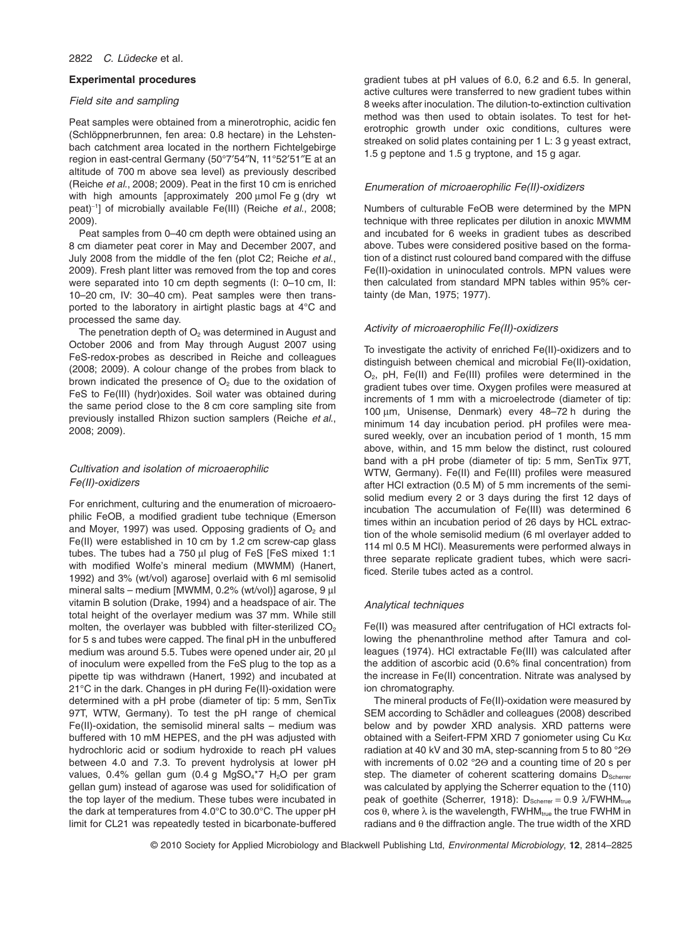#### **Experimental procedures**

### *Field site and sampling*

Peat samples were obtained from a minerotrophic, acidic fen (Schlöppnerbrunnen, fen area: 0.8 hectare) in the Lehstenbach catchment area located in the northern Fichtelgebirge region in east-central Germany (50°7′54″N, 11°52′51″E at an altitude of 700 m above sea level) as previously described (Reiche *et al*., 2008; 2009). Peat in the first 10 cm is enriched with high amounts [approximately 200 µmol Fe g (dry wt peat)-<sup>1</sup> ] of microbially available Fe(III) (Reiche *et al*., 2008; 2009).

Peat samples from 0–40 cm depth were obtained using an 8 cm diameter peat corer in May and December 2007, and July 2008 from the middle of the fen (plot C2; Reiche *et al*., 2009). Fresh plant litter was removed from the top and cores were separated into 10 cm depth segments (I: 0–10 cm, II: 10–20 cm, IV: 30–40 cm). Peat samples were then transported to the laboratory in airtight plastic bags at 4°C and processed the same day.

The penetration depth of  $O<sub>2</sub>$  was determined in August and October 2006 and from May through August 2007 using FeS-redox-probes as described in Reiche and colleagues (2008; 2009). A colour change of the probes from black to brown indicated the presence of  $O<sub>2</sub>$  due to the oxidation of FeS to Fe(III) (hydr)oxides. Soil water was obtained during the same period close to the 8 cm core sampling site from previously installed Rhizon suction samplers (Reiche *et al*., 2008; 2009).

# *Cultivation and isolation of microaerophilic Fe(II)-oxidizers*

For enrichment, culturing and the enumeration of microaerophilic FeOB, a modified gradient tube technique (Emerson and Moyer, 1997) was used. Opposing gradients of  $O<sub>2</sub>$  and Fe(II) were established in 10 cm by 1.2 cm screw-cap glass tubes. The tubes had a 750  $\mu$ l plug of FeS [FeS mixed 1:1 with modified Wolfe's mineral medium (MWMM) (Hanert, 1992) and 3% (wt/vol) agarose] overlaid with 6 ml semisolid mineral salts – medium [MWMM, 0.2% (wt/vol)] agarose, 9 µl vitamin B solution (Drake, 1994) and a headspace of air. The total height of the overlayer medium was 37 mm. While still molten, the overlayer was bubbled with filter-sterilized  $CO<sub>2</sub>$ for 5 s and tubes were capped. The final pH in the unbuffered medium was around 5.5. Tubes were opened under air, 20  $\mu$ of inoculum were expelled from the FeS plug to the top as a pipette tip was withdrawn (Hanert, 1992) and incubated at 21°C in the dark. Changes in pH during Fe(II)-oxidation were determined with a pH probe (diameter of tip: 5 mm, SenTix 97T, WTW, Germany). To test the pH range of chemical Fe(II)-oxidation, the semisolid mineral salts – medium was buffered with 10 mM HEPES, and the pH was adjusted with hydrochloric acid or sodium hydroxide to reach pH values between 4.0 and 7.3. To prevent hydrolysis at lower pH values,  $0.4\%$  gellan gum  $(0.4 \text{ g } \text{MaSO}_4^* \cdot 7 \text{ H}_2 \cdot \text{O} \text{ per gram})$ gellan gum) instead of agarose was used for solidification of the top layer of the medium. These tubes were incubated in the dark at temperatures from 4.0°C to 30.0°C. The upper pH limit for CL21 was repeatedly tested in bicarbonate-buffered gradient tubes at pH values of 6.0, 6.2 and 6.5. In general, active cultures were transferred to new gradient tubes within 8 weeks after inoculation. The dilution-to-extinction cultivation method was then used to obtain isolates. To test for heterotrophic growth under oxic conditions, cultures were streaked on solid plates containing per 1 L: 3 g yeast extract, 1.5 g peptone and 1.5 g tryptone, and 15 g agar.

## *Enumeration of microaerophilic Fe(II)-oxidizers*

Numbers of culturable FeOB were determined by the MPN technique with three replicates per dilution in anoxic MWMM and incubated for 6 weeks in gradient tubes as described above. Tubes were considered positive based on the formation of a distinct rust coloured band compared with the diffuse Fe(II)-oxidation in uninoculated controls. MPN values were then calculated from standard MPN tables within 95% certainty (de Man, 1975; 1977).

## *Activity of microaerophilic Fe(II)-oxidizers*

To investigate the activity of enriched Fe(II)-oxidizers and to distinguish between chemical and microbial Fe(II)-oxidation,  $O<sub>2</sub>$ , pH, Fe(II) and Fe(III) profiles were determined in the gradient tubes over time. Oxygen profiles were measured at increments of 1 mm with a microelectrode (diameter of tip: 100 µm, Unisense, Denmark) every 48-72 h during the minimum 14 day incubation period. pH profiles were measured weekly, over an incubation period of 1 month, 15 mm above, within, and 15 mm below the distinct, rust coloured band with a pH probe (diameter of tip: 5 mm, SenTix 97T, WTW, Germany). Fe(II) and Fe(III) profiles were measured after HCl extraction (0.5 M) of 5 mm increments of the semisolid medium every 2 or 3 days during the first 12 days of incubation The accumulation of Fe(III) was determined 6 times within an incubation period of 26 days by HCL extraction of the whole semisolid medium (6 ml overlayer added to 114 ml 0.5 M HCl). Measurements were performed always in three separate replicate gradient tubes, which were sacrificed. Sterile tubes acted as a control.

#### *Analytical techniques*

Fe(II) was measured after centrifugation of HCl extracts following the phenanthroline method after Tamura and colleagues (1974). HCl extractable Fe(III) was calculated after the addition of ascorbic acid (0.6% final concentration) from the increase in Fe(II) concentration. Nitrate was analysed by ion chromatography.

The mineral products of Fe(II)-oxidation were measured by SEM according to Schädler and colleagues (2008) described below and by powder XRD analysis. XRD patterns were obtained with a Seifert-FPM XRD 7 goniometer using Cu  $K\alpha$ radiation at 40 kV and 30 mA, step-scanning from 5 to 80 °2Q with increments of 0.02 °20 and a counting time of 20 s per step. The diameter of coherent scattering domains  $D_{Scherner}$ was calculated by applying the Scherrer equation to the (110) peak of goethite (Scherrer, 1918):  $D_{\text{Scherier}} = 0.9 \, \text{NFWHM}_{\text{true}}$  $cos \theta$ , where  $\lambda$  is the wavelength, FWHM<sub>true</sub> the true FWHM in radians and  $\theta$  the diffraction angle. The true width of the XRD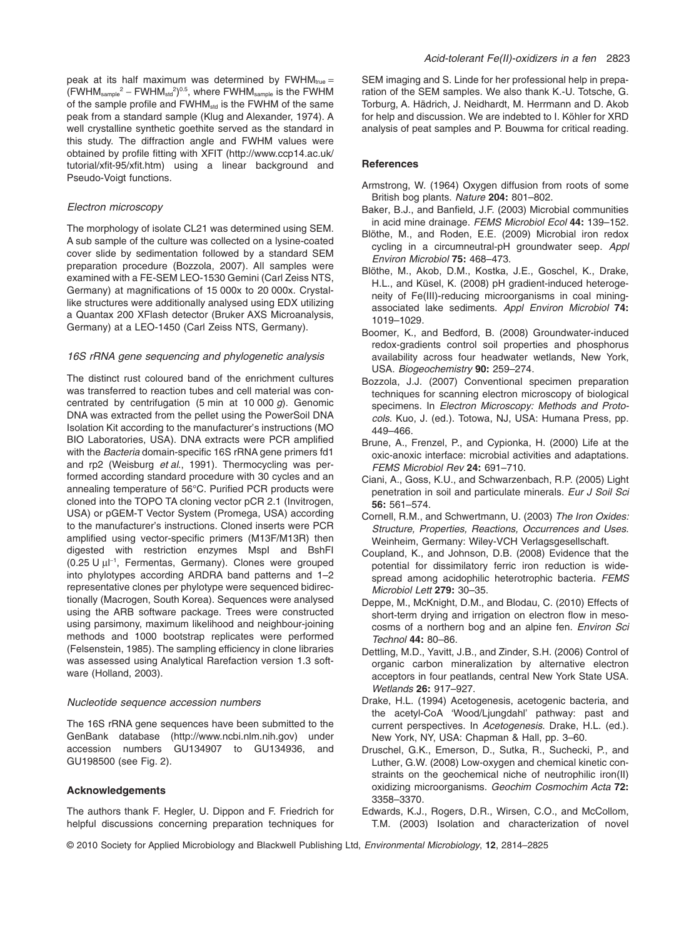peak at its half maximum was determined by  $FWHM_{true} =$  $(FWHM_{sample}^2 - FWHM_{std}^2)^{0.5}$ , where  $FWHM_{sample}$  is the  $FWHM$ of the sample profile and FWHM<sub>std</sub> is the FWHM of the same peak from a standard sample (Klug and Alexander, 1974). A well crystalline synthetic goethite served as the standard in this study. The diffraction angle and FWHM values were obtained by profile fitting with XFIT [\(http://www.ccp14.ac.uk/](http://www.ccp14.ac.uk/tutorial/xfit-95/xfit.htm) [tutorial/xfit-95/xfit.htm\)](http://www.ccp14.ac.uk/tutorial/xfit-95/xfit.htm) using a linear background and Pseudo-Voigt functions.

## *Electron microscopy*

The morphology of isolate CL21 was determined using SEM. A sub sample of the culture was collected on a lysine-coated cover slide by sedimentation followed by a standard SEM preparation procedure (Bozzola, 2007). All samples were examined with a FE-SEM LEO-1530 Gemini (Carl Zeiss NTS, Germany) at magnifications of 15 000x to 20 000x. Crystallike structures were additionally analysed using EDX utilizing a Quantax 200 XFlash detector (Bruker AXS Microanalysis, Germany) at a LEO-1450 (Carl Zeiss NTS, Germany).

## *16S rRNA gene sequencing and phylogenetic analysis*

The distinct rust coloured band of the enrichment cultures was transferred to reaction tubes and cell material was concentrated by centrifugation (5 min at 10 000 *g*). Genomic DNA was extracted from the pellet using the PowerSoil DNA Isolation Kit according to the manufacturer's instructions (MO BIO Laboratories, USA). DNA extracts were PCR amplified with the *Bacteria* domain-specific 16S rRNA gene primers fd1 and rp2 (Weisburg *et al*., 1991). Thermocycling was performed according standard procedure with 30 cycles and an annealing temperature of 56°C. Purified PCR products were cloned into the TOPO TA cloning vector pCR 2.1 (Invitrogen, USA) or pGEM-T Vector System (Promega, USA) according to the manufacturer's instructions. Cloned inserts were PCR amplified using vector-specific primers (M13F/M13R) then digested with restriction enzymes MspI and BshFI (0.25 U µl<sup>-1</sup>, Fermentas, Germany). Clones were grouped into phylotypes according ARDRA band patterns and 1–2 representative clones per phylotype were sequenced bidirectionally (Macrogen, South Korea). Sequences were analysed using the ARB software package. Trees were constructed using parsimony, maximum likelihood and neighbour-joining methods and 1000 bootstrap replicates were performed (Felsenstein, 1985). The sampling efficiency in clone libraries was assessed using Analytical Rarefaction version 1.3 software (Holland, 2003).

#### *Nucleotide sequence accession numbers*

The 16S rRNA gene sequences have been submitted to the GenBank database [\(http://www.ncbi.nlm.nih.gov\)](http://www.ncbi.nlm.nih.gov) under accession numbers GU134907 to GU134936, and GU198500 (see Fig. 2).

#### **Acknowledgements**

The authors thank F. Hegler, U. Dippon and F. Friedrich for helpful discussions concerning preparation techniques for SEM imaging and S. Linde for her professional help in preparation of the SEM samples. We also thank K.-U. Totsche, G. Torburg, A. Hädrich, J. Neidhardt, M. Herrmann and D. Akob for help and discussion. We are indebted to I. Köhler for XRD analysis of peat samples and P. Bouwma for critical reading.

#### **References**

- Armstrong, W. (1964) Oxygen diffusion from roots of some British bog plants. *Nature* **204:** 801–802.
- Baker, B.J., and Banfield, J.F. (2003) Microbial communities in acid mine drainage. *FEMS Microbiol Ecol* **44:** 139–152.
- Blöthe, M., and Roden, E.E. (2009) Microbial iron redox cycling in a circumneutral-pH groundwater seep. *Appl Environ Microbiol* **75:** 468–473.
- Blöthe, M., Akob, D.M., Kostka, J.E., Goschel, K., Drake, H.L., and Küsel, K. (2008) pH gradient-induced heterogeneity of Fe(III)-reducing microorganisms in coal miningassociated lake sediments. *Appl Environ Microbiol* **74:** 1019–1029.
- Boomer, K., and Bedford, B. (2008) Groundwater-induced redox-gradients control soil properties and phosphorus availability across four headwater wetlands, New York, USA. *Biogeochemistry* **90:** 259–274.
- Bozzola, J.J. (2007) Conventional specimen preparation techniques for scanning electron microscopy of biological specimens. In *Electron Microscopy: Methods and Protocols*. Kuo, J. (ed.). Totowa, NJ, USA: Humana Press, pp. 449–466.
- Brune, A., Frenzel, P., and Cypionka, H. (2000) Life at the oxic-anoxic interface: microbial activities and adaptations. *FEMS Microbiol Rev* **24:** 691–710.
- Ciani, A., Goss, K.U., and Schwarzenbach, R.P. (2005) Light penetration in soil and particulate minerals. *Eur J Soil Sci* **56:** 561–574.
- Cornell, R.M., and Schwertmann, U. (2003) *The Iron Oxides: Structure, Properties, Reactions, Occurrences and Uses*. Weinheim, Germany: Wiley-VCH Verlagsgesellschaft.
- Coupland, K., and Johnson, D.B. (2008) Evidence that the potential for dissimilatory ferric iron reduction is widespread among acidophilic heterotrophic bacteria. *FEMS Microbiol Lett* **279:** 30–35.
- Deppe, M., McKnight, D.M., and Blodau, C. (2010) Effects of short-term drying and irrigation on electron flow in mesocosms of a northern bog and an alpine fen. *Environ Sci Technol* **44:** 80–86.
- Dettling, M.D., Yavitt, J.B., and Zinder, S.H. (2006) Control of organic carbon mineralization by alternative electron acceptors in four peatlands, central New York State USA. *Wetlands* **26:** 917–927.
- Drake, H.L. (1994) Acetogenesis, acetogenic bacteria, and the acetyl-CoA 'Wood/Ljungdahl' pathway: past and current perspectives. In *Acetogenesis*. Drake, H.L. (ed.). New York, NY, USA: Chapman & Hall, pp. 3–60.
- Druschel, G.K., Emerson, D., Sutka, R., Suchecki, P., and Luther, G.W. (2008) Low-oxygen and chemical kinetic constraints on the geochemical niche of neutrophilic iron(II) oxidizing microorganisms. *Geochim Cosmochim Acta* **72:** 3358–3370.
- Edwards, K.J., Rogers, D.R., Wirsen, C.O., and McCollom, T.M. (2003) Isolation and characterization of novel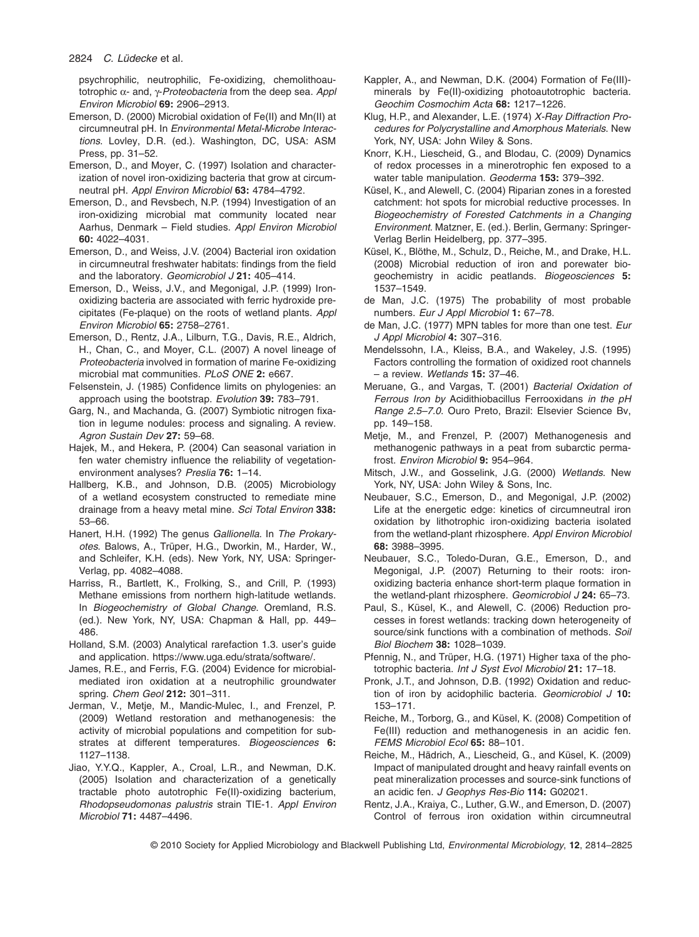psychrophilic, neutrophilic, Fe-oxidizing, chemolithoautotrophic a- and, g-*Proteobacteria* from the deep sea. *Appl Environ Microbiol* **69:** 2906–2913.

- Emerson, D. (2000) Microbial oxidation of Fe(II) and Mn(II) at circumneutral pH. In *Environmental Metal-Microbe Interactions*. Lovley, D.R. (ed.). Washington, DC, USA: ASM Press, pp. 31–52.
- Emerson, D., and Moyer, C. (1997) Isolation and characterization of novel iron-oxidizing bacteria that grow at circumneutral pH. *Appl Environ Microbiol* **63:** 4784–4792.
- Emerson, D., and Revsbech, N.P. (1994) Investigation of an iron-oxidizing microbial mat community located near Aarhus, Denmark – Field studies. *Appl Environ Microbiol* **60:** 4022–4031.
- Emerson, D., and Weiss, J.V. (2004) Bacterial iron oxidation in circumneutral freshwater habitats: findings from the field and the laboratory. *Geomicrobiol J* **21:** 405–414.
- Emerson, D., Weiss, J.V., and Megonigal, J.P. (1999) Ironoxidizing bacteria are associated with ferric hydroxide precipitates (Fe-plaque) on the roots of wetland plants. *Appl Environ Microbiol* **65:** 2758–2761.
- Emerson, D., Rentz, J.A., Lilburn, T.G., Davis, R.E., Aldrich, H., Chan, C., and Moyer, C.L. (2007) A novel lineage of *Proteobacteria* involved in formation of marine Fe-oxidizing microbial mat communities. *PLoS ONE* **2:** e667.
- Felsenstein, J. (1985) Confidence limits on phylogenies: an approach using the bootstrap. *Evolution* **39:** 783–791.
- Garg, N., and Machanda, G. (2007) Symbiotic nitrogen fixation in legume nodules: process and signaling. A review. *Agron Sustain Dev* **27:** 59–68.
- Hajek, M., and Hekera, P. (2004) Can seasonal variation in fen water chemistry influence the reliability of vegetationenvironment analyses? *Preslia* **76:** 1–14.
- Hallberg, K.B., and Johnson, D.B. (2005) Microbiology of a wetland ecosystem constructed to remediate mine drainage from a heavy metal mine. *Sci Total Environ* **338:** 53–66.
- Hanert, H.H. (1992) The genus *Gallionella*. In *The Prokaryotes*. Balows, A., Trüper, H.G., Dworkin, M., Harder, W., and Schleifer, K.H. (eds). New York, NY, USA: Springer-Verlag, pp. 4082–4088.
- Harriss, R., Bartlett, K., Frolking, S., and Crill, P. (1993) Methane emissions from northern high-latitude wetlands. In *Biogeochemistry of Global Change*. Oremland, R.S. (ed.). New York, NY, USA: Chapman & Hall, pp. 449– 486.
- Holland, S.M. (2003) Analytical rarefaction 1.3. user's guide and application. [https://www.uga.edu/strata/software/.](https://www.uga.edu/strata/software/)
- James, R.E., and Ferris, F.G. (2004) Evidence for microbialmediated iron oxidation at a neutrophilic groundwater spring. *Chem Geol* **212:** 301–311.
- Jerman, V., Metje, M., Mandic-Mulec, I., and Frenzel, P. (2009) Wetland restoration and methanogenesis: the activity of microbial populations and competition for substrates at different temperatures. *Biogeosciences* **6:** 1127–1138.
- Jiao, Y.Y.Q., Kappler, A., Croal, L.R., and Newman, D.K. (2005) Isolation and characterization of a genetically tractable photo autotrophic Fe(II)-oxidizing bacterium, *Rhodopseudomonas palustris* strain TIE-1. *Appl Environ Microbiol* **71:** 4487–4496.
- Kappler, A., and Newman, D.K. (2004) Formation of Fe(III) minerals by Fe(II)-oxidizing photoautotrophic bacteria. *Geochim Cosmochim Acta* **68:** 1217–1226.
- Klug, H.P., and Alexander, L.E. (1974) *X-Ray Diffraction Procedures for Polycrystalline and Amorphous Materials*. New York, NY, USA: John Wiley & Sons.
- Knorr, K.H., Liescheid, G., and Blodau, C. (2009) Dynamics of redox processes in a minerotrophic fen exposed to a water table manipulation. *Geoderma* **153:** 379–392.
- Küsel, K., and Alewell, C. (2004) Riparian zones in a forested catchment: hot spots for microbial reductive processes. In *Biogeochemistry of Forested Catchments in a Changing Environment*. Matzner, E. (ed.). Berlin, Germany: Springer-Verlag Berlin Heidelberg, pp. 377–395.
- Küsel, K., Blöthe, M., Schulz, D., Reiche, M., and Drake, H.L. (2008) Microbial reduction of iron and porewater biogeochemistry in acidic peatlands. *Biogeosciences* **5:** 1537–1549.
- de Man, J.C. (1975) The probability of most probable numbers. *Eur J Appl Microbiol* **1:** 67–78.
- de Man, J.C. (1977) MPN tables for more than one test. *Eur J Appl Microbiol* **4:** 307–316.
- Mendelssohn, I.A., Kleiss, B.A., and Wakeley, J.S. (1995) Factors controlling the formation of oxidized root channels – a review. *Wetlands* **15:** 37–46.
- Meruane, G., and Vargas, T. (2001) *Bacterial Oxidation of Ferrous Iron by* Acidithiobacillus Ferrooxidans *in the pH Range 2.5–7.0*. Ouro Preto, Brazil: Elsevier Science Bv, pp. 149–158.
- Metje, M., and Frenzel, P. (2007) Methanogenesis and methanogenic pathways in a peat from subarctic permafrost. *Environ Microbiol* **9:** 954–964.
- Mitsch, J.W., and Gosselink, J.G. (2000) *Wetlands*. New York, NY, USA: John Wiley & Sons, Inc.
- Neubauer, S.C., Emerson, D., and Megonigal, J.P. (2002) Life at the energetic edge: kinetics of circumneutral iron oxidation by lithotrophic iron-oxidizing bacteria isolated from the wetland-plant rhizosphere. *Appl Environ Microbiol* **68:** 3988–3995.
- Neubauer, S.C., Toledo-Duran, G.E., Emerson, D., and Megonigal, J.P. (2007) Returning to their roots: ironoxidizing bacteria enhance short-term plaque formation in the wetland-plant rhizosphere. *Geomicrobiol J* **24:** 65–73.
- Paul, S., Küsel, K., and Alewell, C. (2006) Reduction processes in forest wetlands: tracking down heterogeneity of source/sink functions with a combination of methods. *Soil Biol Biochem* **38:** 1028–1039.
- Pfennig, N., and Trüper, H.G. (1971) Higher taxa of the phototrophic bacteria. *Int J Syst Evol Microbiol* **21:** 17–18.
- Pronk, J.T., and Johnson, D.B. (1992) Oxidation and reduction of iron by acidophilic bacteria. *Geomicrobiol J* **10:** 153–171.
- Reiche, M., Torborg, G., and Küsel, K. (2008) Competition of Fe(III) reduction and methanogenesis in an acidic fen. *FEMS Microbiol Ecol* **65:** 88–101.
- Reiche, M., Hädrich, A., Liescheid, G., and Küsel, K. (2009) Impact of manipulated drought and heavy rainfall events on peat mineralization processes and source-sink functions of an acidic fen. *J Geophys Res-Bio* **114:** G02021.
- Rentz, J.A., Kraiya, C., Luther, G.W., and Emerson, D. (2007) Control of ferrous iron oxidation within circumneutral